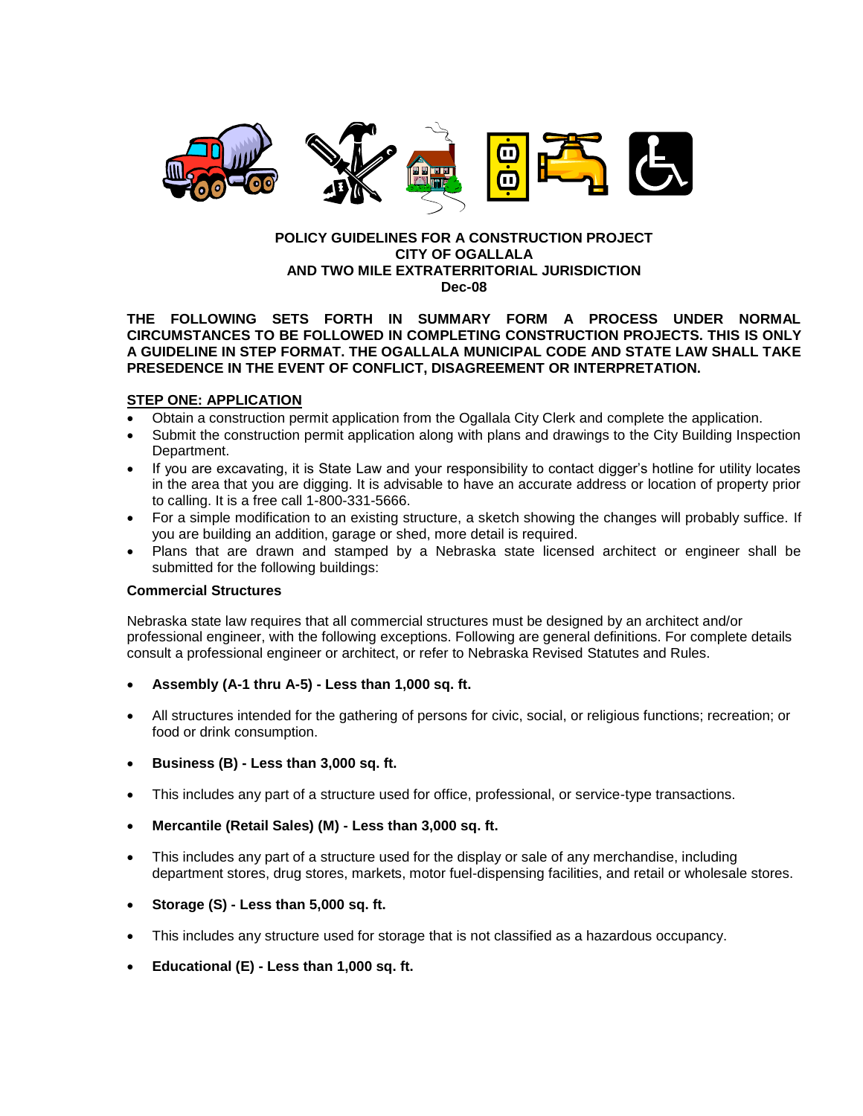

#### **POLICY GUIDELINES FOR A CONSTRUCTION PROJECT CITY OF OGALLALA AND TWO MILE EXTRATERRITORIAL JURISDICTION Dec-08**

### **THE FOLLOWING SETS FORTH IN SUMMARY FORM A PROCESS UNDER NORMAL CIRCUMSTANCES TO BE FOLLOWED IN COMPLETING CONSTRUCTION PROJECTS. THIS IS ONLY A GUIDELINE IN STEP FORMAT. THE OGALLALA MUNICIPAL CODE AND STATE LAW SHALL TAKE PRESEDENCE IN THE EVENT OF CONFLICT, DISAGREEMENT OR INTERPRETATION.**

# **STEP ONE: APPLICATION**

- Obtain a construction permit application from the Ogallala City Clerk and complete the application.
- Submit the construction permit application along with plans and drawings to the City Building Inspection Department.
- If you are excavating, it is State Law and your responsibility to contact digger's hotline for utility locates in the area that you are digging. It is advisable to have an accurate address or location of property prior to calling. It is a free call 1-800-331-5666.
- For a simple modification to an existing structure, a sketch showing the changes will probably suffice. If you are building an addition, garage or shed, more detail is required.
- Plans that are drawn and stamped by a Nebraska state licensed architect or engineer shall be submitted for the following buildings:

#### **Commercial Structures**

Nebraska state law requires that all commercial structures must be designed by an architect and/or professional engineer, with the following exceptions. Following are general definitions. For complete details consult a professional engineer or architect, or refer to Nebraska Revised Statutes and Rules.

- **Assembly (A-1 thru A-5) - Less than 1,000 sq. ft.**
- All structures intended for the gathering of persons for civic, social, or religious functions; recreation; or food or drink consumption.
- **Business (B) - Less than 3,000 sq. ft.**
- This includes any part of a structure used for office, professional, or service-type transactions.
- **Mercantile (Retail Sales) (M) - Less than 3,000 sq. ft.**
- This includes any part of a structure used for the display or sale of any merchandise, including department stores, drug stores, markets, motor fuel-dispensing facilities, and retail or wholesale stores.
- **Storage (S) - Less than 5,000 sq. ft.**
- This includes any structure used for storage that is not classified as a hazardous occupancy.
- **Educational (E) - Less than 1,000 sq. ft.**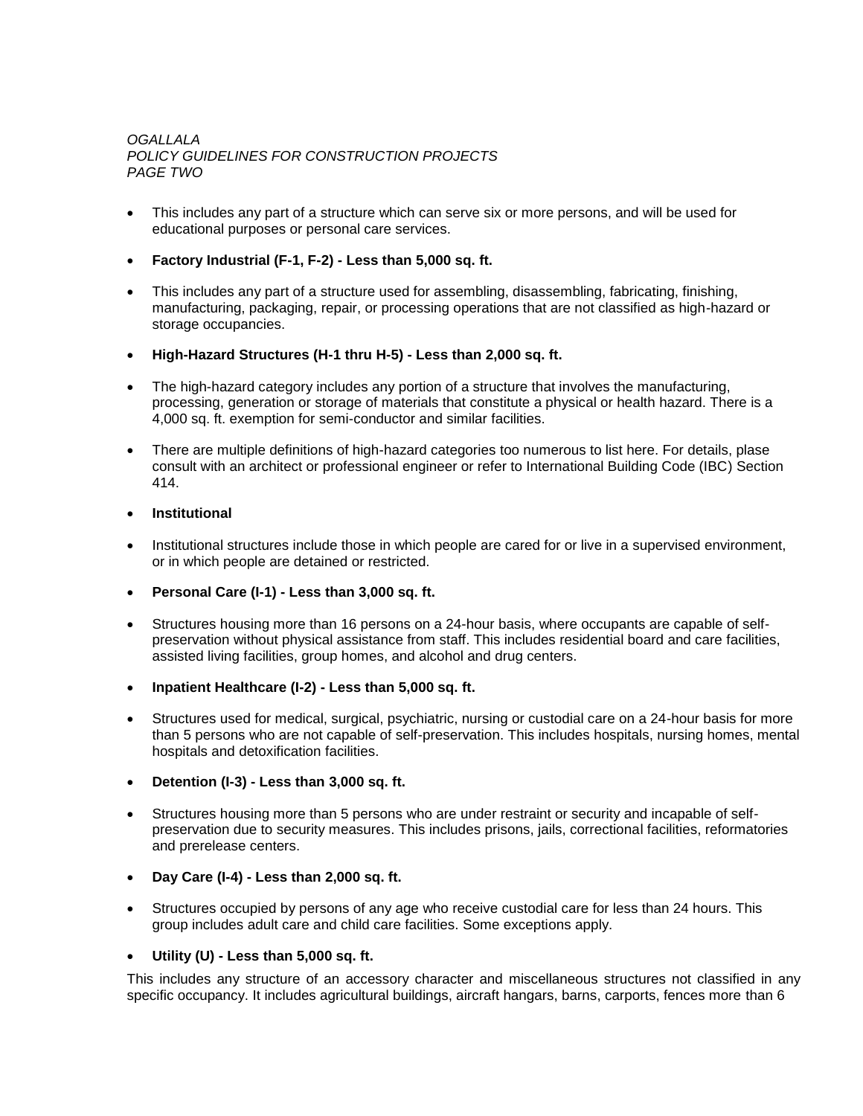# *OGALLALA POLICY GUIDELINES FOR CONSTRUCTION PROJECTS PAGE TWO*

- This includes any part of a structure which can serve six or more persons, and will be used for educational purposes or personal care services.
- **Factory Industrial (F-1, F-2) - Less than 5,000 sq. ft.**
- This includes any part of a structure used for assembling, disassembling, fabricating, finishing, manufacturing, packaging, repair, or processing operations that are not classified as high-hazard or storage occupancies.
- **High-Hazard Structures (H-1 thru H-5) - Less than 2,000 sq. ft.**
- The high-hazard category includes any portion of a structure that involves the manufacturing, processing, generation or storage of materials that constitute a physical or health hazard. There is a 4,000 sq. ft. exemption for semi-conductor and similar facilities.
- There are multiple definitions of high-hazard categories too numerous to list here. For details, plase consult with an architect or professional engineer or refer to International Building Code (IBC) Section 414.

## **Institutional**

- Institutional structures include those in which people are cared for or live in a supervised environment, or in which people are detained or restricted.
- **Personal Care (I-1) - Less than 3,000 sq. ft.**
- Structures housing more than 16 persons on a 24-hour basis, where occupants are capable of selfpreservation without physical assistance from staff. This includes residential board and care facilities, assisted living facilities, group homes, and alcohol and drug centers.
- **Inpatient Healthcare (I-2) - Less than 5,000 sq. ft.**
- Structures used for medical, surgical, psychiatric, nursing or custodial care on a 24-hour basis for more than 5 persons who are not capable of self-preservation. This includes hospitals, nursing homes, mental hospitals and detoxification facilities.
- **Detention (I-3) - Less than 3,000 sq. ft.**
- Structures housing more than 5 persons who are under restraint or security and incapable of selfpreservation due to security measures. This includes prisons, jails, correctional facilities, reformatories and prerelease centers.
- **Day Care (I-4) - Less than 2,000 sq. ft.**
- Structures occupied by persons of any age who receive custodial care for less than 24 hours. This group includes adult care and child care facilities. Some exceptions apply.
- **Utility (U) - Less than 5,000 sq. ft.**

This includes any structure of an accessory character and miscellaneous structures not classified in any specific occupancy. It includes agricultural buildings, aircraft hangars, barns, carports, fences more than 6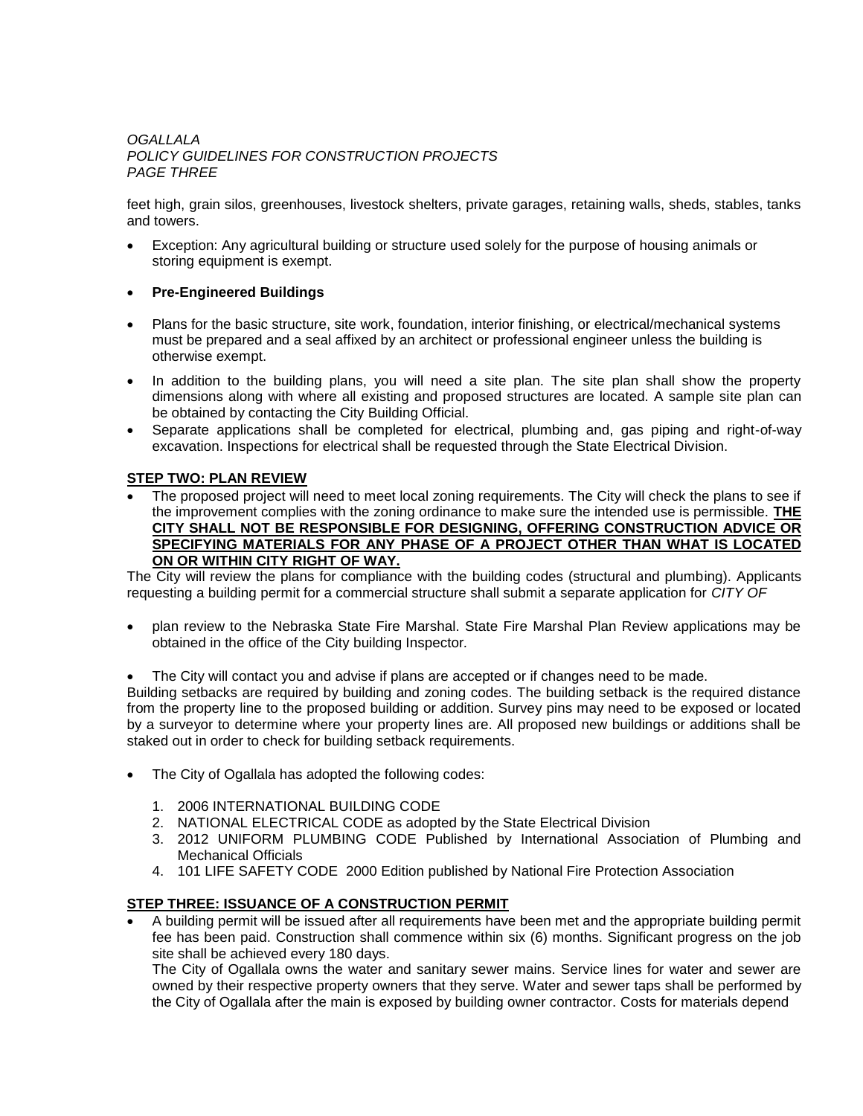## *OGALLALA POLICY GUIDELINES FOR CONSTRUCTION PROJECTS PAGE THREE*

feet high, grain silos, greenhouses, livestock shelters, private garages, retaining walls, sheds, stables, tanks and towers.

- Exception: Any agricultural building or structure used solely for the purpose of housing animals or storing equipment is exempt.
- **Pre-Engineered Buildings**
- Plans for the basic structure, site work, foundation, interior finishing, or electrical/mechanical systems must be prepared and a seal affixed by an architect or professional engineer unless the building is otherwise exempt.
- In addition to the building plans, you will need a site plan. The site plan shall show the property dimensions along with where all existing and proposed structures are located. A sample site plan can be obtained by contacting the City Building Official.
- Separate applications shall be completed for electrical, plumbing and, gas piping and right-of-way excavation. Inspections for electrical shall be requested through the State Electrical Division.

# **STEP TWO: PLAN REVIEW**

 The proposed project will need to meet local zoning requirements. The City will check the plans to see if the improvement complies with the zoning ordinance to make sure the intended use is permissible. **THE CITY SHALL NOT BE RESPONSIBLE FOR DESIGNING, OFFERING CONSTRUCTION ADVICE OR SPECIFYING MATERIALS FOR ANY PHASE OF A PROJECT OTHER THAN WHAT IS LOCATED ON OR WITHIN CITY RIGHT OF WAY.**

The City will review the plans for compliance with the building codes (structural and plumbing). Applicants requesting a building permit for a commercial structure shall submit a separate application for *CITY OF* 

- plan review to the Nebraska State Fire Marshal. State Fire Marshal Plan Review applications may be obtained in the office of the City building Inspector*.*
- The City will contact you and advise if plans are accepted or if changes need to be made.

Building setbacks are required by building and zoning codes. The building setback is the required distance from the property line to the proposed building or addition. Survey pins may need to be exposed or located by a surveyor to determine where your property lines are. All proposed new buildings or additions shall be staked out in order to check for building setback requirements.

- The City of Ogallala has adopted the following codes:
	- 1. 2006 INTERNATIONAL BUILDING CODE
	- 2. NATIONAL ELECTRICAL CODE as adopted by the State Electrical Division
	- 3. 2012 UNIFORM PLUMBING CODE Published by International Association of Plumbing and Mechanical Officials
	- 4. 101 LIFE SAFETY CODE 2000 Edition published by National Fire Protection Association

# **STEP THREE: ISSUANCE OF A CONSTRUCTION PERMIT**

 A building permit will be issued after all requirements have been met and the appropriate building permit fee has been paid. Construction shall commence within six (6) months. Significant progress on the job site shall be achieved every 180 days.

The City of Ogallala owns the water and sanitary sewer mains. Service lines for water and sewer are owned by their respective property owners that they serve. Water and sewer taps shall be performed by the City of Ogallala after the main is exposed by building owner contractor. Costs for materials depend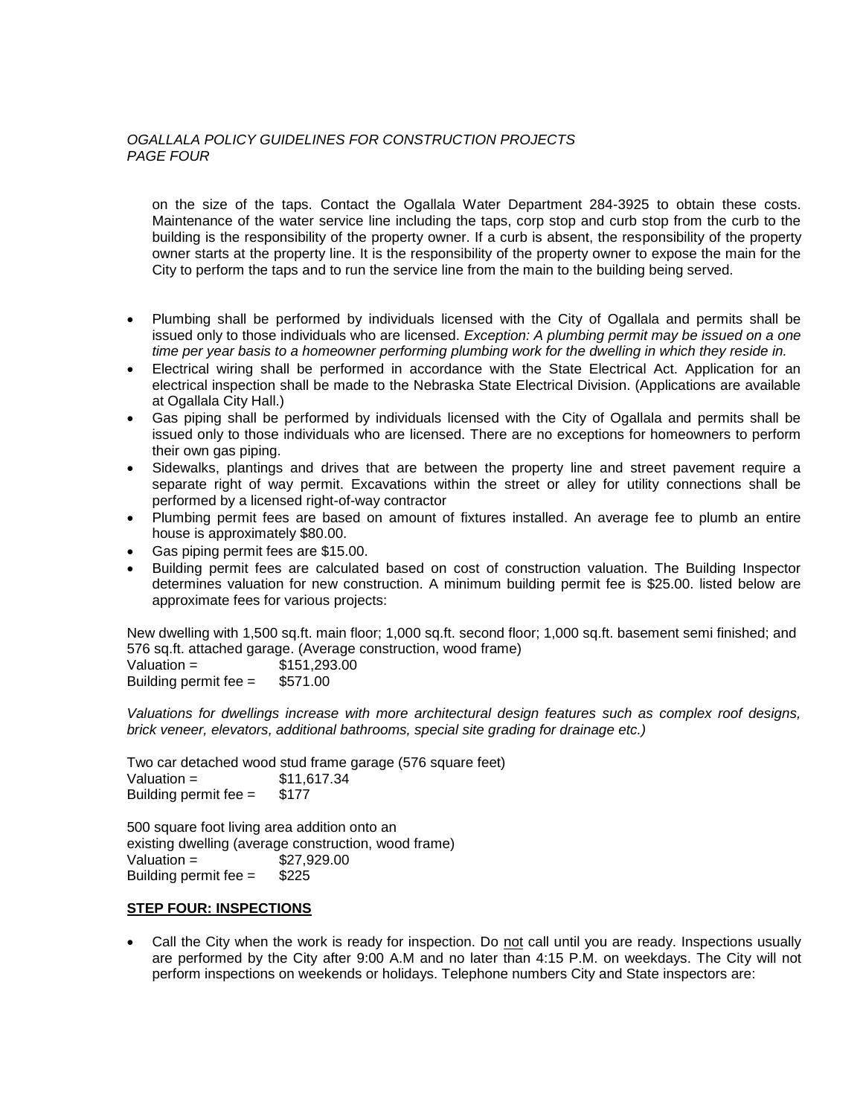## *OGALLALA POLICY GUIDELINES FOR CONSTRUCTION PROJECTS PAGE FOUR*

on the size of the taps. Contact the Ogallala Water Department 284-3925 to obtain these costs. Maintenance of the water service line including the taps, corp stop and curb stop from the curb to the building is the responsibility of the property owner. If a curb is absent, the responsibility of the property owner starts at the property line. It is the responsibility of the property owner to expose the main for the City to perform the taps and to run the service line from the main to the building being served.

- Plumbing shall be performed by individuals licensed with the City of Ogallala and permits shall be issued only to those individuals who are licensed. *Exception: A plumbing permit may be issued on a one time per year basis to a homeowner performing plumbing work for the dwelling in which they reside in.*
- Electrical wiring shall be performed in accordance with the State Electrical Act. Application for an electrical inspection shall be made to the Nebraska State Electrical Division. (Applications are available at Ogallala City Hall.)
- Gas piping shall be performed by individuals licensed with the City of Ogallala and permits shall be issued only to those individuals who are licensed. There are no exceptions for homeowners to perform their own gas piping.
- Sidewalks, plantings and drives that are between the property line and street pavement require a separate right of way permit. Excavations within the street or alley for utility connections shall be performed by a licensed right-of-way contractor
- Plumbing permit fees are based on amount of fixtures installed. An average fee to plumb an entire house is approximately \$80.00.
- Gas piping permit fees are \$15.00.
- Building permit fees are calculated based on cost of construction valuation. The Building Inspector determines valuation for new construction. A minimum building permit fee is \$25.00. listed below are approximate fees for various projects:

New dwelling with 1,500 sq.ft. main floor; 1,000 sq.ft. second floor; 1,000 sq.ft. basement semi finished; and 576 sq.ft. attached garage. (Average construction, wood frame)  $Valuation =$  \$151,293.00 Building permit fee = \$571.00

*Valuations for dwellings increase with more architectural design features such as complex roof designs, brick veneer, elevators, additional bathrooms, special site grading for drainage etc.)*

Two car detached wood stud frame garage (576 square feet)  $Valuation =$  \$11,617,34 Building permit fee  $=$  \$177

500 square foot living area addition onto an existing dwelling (average construction, wood frame)  $Valuation =$  \$27,929.00 Building permit fee = \$225

#### **STEP FOUR: INSPECTIONS**

 Call the City when the work is ready for inspection. Do not call until you are ready. Inspections usually are performed by the City after 9:00 A.M and no later than 4:15 P.M. on weekdays. The City will not perform inspections on weekends or holidays. Telephone numbers City and State inspectors are: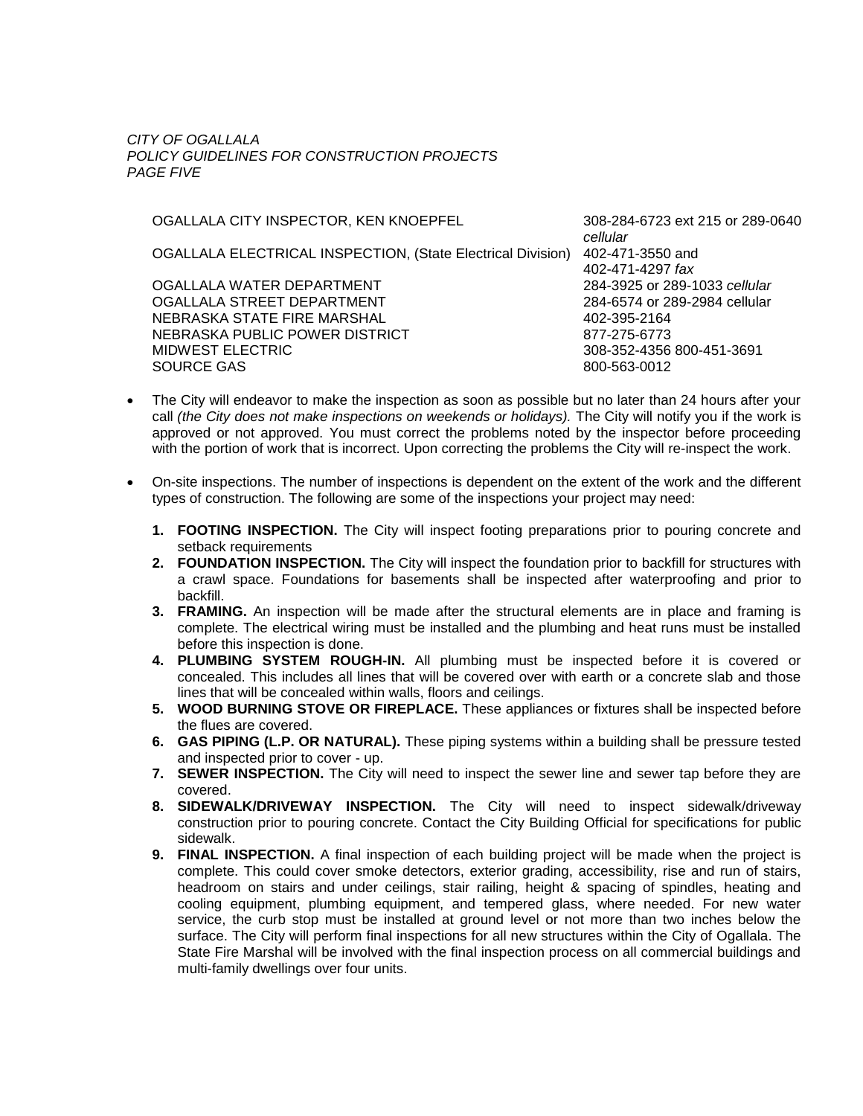*CITY OF OGALLALA POLICY GUIDELINES FOR CONSTRUCTION PROJECTS PAGE FIVE*

OGALLALA CITY INSPECTOR, KEN KNOEPFEL 308-284-6723 ext 215 or 289-0640

OGALLALA ELECTRICAL INSPECTION, (State Electrical Division) 402-471-3550 and

OGALLALA WATER DEPARTMENT 284-3925 or 289-1033 *cellular* OGALLALA STREET DEPARTMENT 284-6574 or 289-2984 cellular NEBRASKA STATE FIRE MARSHAL 402-395-2164 NEBRASKA PUBLIC POWER DISTRICT 877-275-6773 MIDWEST ELECTRIC 308-352-4356 800-451-3691 SOURCE GAS 800-563-0012

*cellular* 402-471-4297 *fax*

- The City will endeavor to make the inspection as soon as possible but no later than 24 hours after your call *(the City does not make inspections on weekends or holidays).* The City will notify you if the work is approved or not approved. You must correct the problems noted by the inspector before proceeding with the portion of work that is incorrect. Upon correcting the problems the City will re-inspect the work.
- On-site inspections. The number of inspections is dependent on the extent of the work and the different types of construction. The following are some of the inspections your project may need:
	- **1. FOOTING INSPECTION.** The City will inspect footing preparations prior to pouring concrete and setback requirements
	- **2. FOUNDATION INSPECTION.** The City will inspect the foundation prior to backfill for structures with a crawl space. Foundations for basements shall be inspected after waterproofing and prior to backfill.
	- **3. FRAMING.** An inspection will be made after the structural elements are in place and framing is complete. The electrical wiring must be installed and the plumbing and heat runs must be installed before this inspection is done.
	- **4. PLUMBING SYSTEM ROUGH-IN.** All plumbing must be inspected before it is covered or concealed. This includes all lines that will be covered over with earth or a concrete slab and those lines that will be concealed within walls, floors and ceilings.
	- **5. WOOD BURNING STOVE OR FIREPLACE.** These appliances or fixtures shall be inspected before the flues are covered.
	- **6. GAS PIPING (L.P. OR NATURAL).** These piping systems within a building shall be pressure tested and inspected prior to cover - up.
	- **7. SEWER INSPECTION.** The City will need to inspect the sewer line and sewer tap before they are covered.
	- **8. SIDEWALK/DRIVEWAY INSPECTION.** The City will need to inspect sidewalk/driveway construction prior to pouring concrete. Contact the City Building Official for specifications for public sidewalk.
	- **9. FINAL INSPECTION.** A final inspection of each building project will be made when the project is complete. This could cover smoke detectors, exterior grading, accessibility, rise and run of stairs, headroom on stairs and under ceilings, stair railing, height & spacing of spindles, heating and cooling equipment, plumbing equipment, and tempered glass, where needed. For new water service, the curb stop must be installed at ground level or not more than two inches below the surface. The City will perform final inspections for all new structures within the City of Ogallala. The State Fire Marshal will be involved with the final inspection process on all commercial buildings and multi-family dwellings over four units.